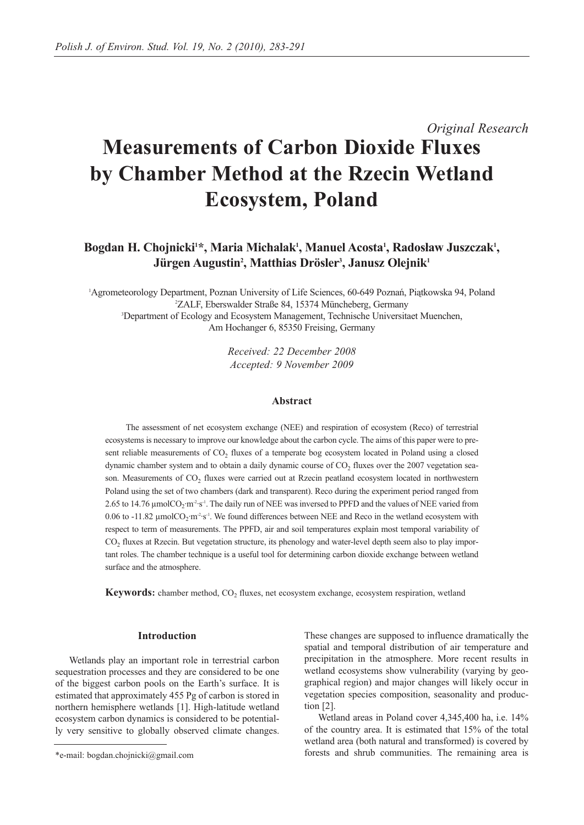# *Original Research* **Measurements of Carbon Dioxide Fluxes by Chamber Method at the Rzecin Wetland Ecosystem, Poland**

# Bogdan H. Chojnicki<sup>1\*</sup>, Maria Michalak<sup>1</sup>, Manuel Acosta<sup>1</sup>, Radosław Juszczak<sup>1</sup>, **Jürgen Augustin2 , Matthias Drösler3 , Janusz Olejnik1**

1 Agrometeorology Department, Poznan University of Life Sciences, 60-649 Poznań, Piątkowska 94, Poland 2 ZALF, Eberswalder Straße 84, 15374 Müncheberg, Germany 3 Department of Ecology and Ecosystem Management, Technische Universitaet Muenchen, Am Hochanger 6, 85350 Freising, Germany

> *Received: 22 December 2008 Accepted: 9 November 2009*

### **Abstract**

The assessment of net ecosystem exchange (NEE) and respiration of ecosystem (Reco) of terrestrial ecosystems is necessary to improve our knowledge about the carbon cycle. The aims of this paper were to present reliable measurements of  $CO<sub>2</sub>$  fluxes of a temperate bog ecosystem located in Poland using a closed dynamic chamber system and to obtain a daily dynamic course of  $CO<sub>2</sub>$  fluxes over the 2007 vegetation season. Measurements of CO<sub>2</sub> fluxes were carried out at Rzecin peatland ecosystem located in northwestern Poland using the set of two chambers (dark and transparent). Reco during the experiment period ranged from 2.65 to 14.76  $\mu$ molCO<sub>2</sub>·m<sup>2</sup>·s<sup>-1</sup>. The daily run of NEE was inversed to PPFD and the values of NEE varied from 0.06 to -11.82  $\mu$ molCO<sub>2</sub>·m<sup>-2</sup>·s<sup>-1</sup>. We found differences between NEE and Reco in the wetland ecosystem with respect to term of measurements. The PPFD, air and soil temperatures explain most temporal variability of CO<sub>2</sub> fluxes at Rzecin. But vegetation structure, its phenology and water-level depth seem also to play important roles. The chamber technique is a useful tool for determining carbon dioxide exchange between wetland surface and the atmosphere.

**Keywords:** chamber method, CO<sub>2</sub> fluxes, net ecosystem exchange, ecosystem respiration, wetland

#### **Introduction**

Wetlands play an important role in terrestrial carbon sequestration processes and they are considered to be one of the biggest carbon pools on the Earth's surface. It is estimated that approximately 455 Pg of carbon is stored in northern hemisphere wetlands [1]. High-latitude wetland ecosystem carbon dynamics is considered to be potentially very sensitive to globally observed climate changes. These changes are supposed to influence dramatically the spatial and temporal distribution of air temperature and precipitation in the atmosphere. More recent results in wetland ecosystems show vulnerability (varying by geographical region) and major changes will likely occur in vegetation species composition, seasonality and production [2].

Wetland areas in Poland cover 4,345,400 ha, i.e. 14% of the country area. It is estimated that 15% of the total wetland area (both natural and transformed) is covered by forests and shrub communities. The remaining area is

<sup>\*</sup>e-mail: bogdan.chojnicki@gmail.com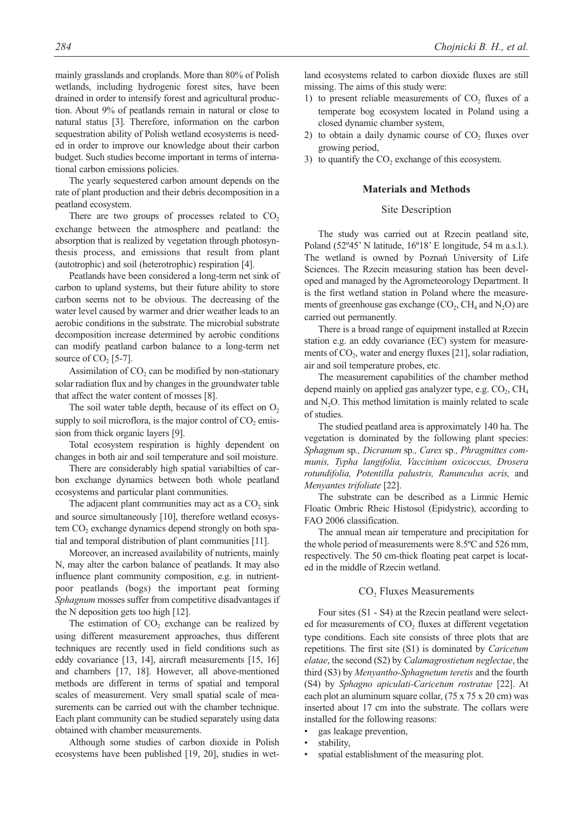mainly grasslands and croplands. More than 80% of Polish wetlands, including hydrogenic forest sites, have been drained in order to intensify forest and agricultural production. About 9% of peatlands remain in natural or close to natural status [3]. Therefore, information on the carbon sequestration ability of Polish wetland ecosystems is needed in order to improve our knowledge about their carbon budget. Such studies become important in terms of international carbon emissions policies.

The yearly sequestered carbon amount depends on the rate of plant production and their debris decomposition in a peatland ecosystem.

There are two groups of processes related to  $CO<sub>2</sub>$ exchange between the atmosphere and peatland: the absorption that is realized by vegetation through photosynthesis process, and emissions that result from plant (autotrophic) and soil (heterotrophic) respiration [4].

Peatlands have been considered a long-term net sink of carbon to upland systems, but their future ability to store carbon seems not to be obvious. The decreasing of the water level caused by warmer and drier weather leads to an aerobic conditions in the substrate. The microbial substrate decomposition increase determined by aerobic conditions can modify peatland carbon balance to a long-term net source of  $CO<sub>2</sub>$  [5-7].

Assimilation of  $CO<sub>2</sub>$  can be modified by non-stationary solar radiation flux and by changes in the groundwater table that affect the water content of mosses [8].

The soil water table depth, because of its effect on  $O<sub>2</sub>$ supply to soil microflora, is the major control of  $CO<sub>2</sub>$  emission from thick organic layers [9].

Total ecosystem respiration is highly dependent on changes in both air and soil temperature and soil moisture.

There are considerably high spatial variabilties of carbon exchange dynamics between both whole peatland ecosystems and particular plant communities.

The adjacent plant communities may act as a  $CO<sub>2</sub>$  sink and source simultaneously [10], therefore wetland ecosystem  $CO<sub>2</sub>$  exchange dynamics depend strongly on both spatial and temporal distribution of plant communities [11].

Moreover, an increased availability of nutrients, mainly N, may alter the carbon balance of peatlands. It may also influence plant community composition, e.g. in nutrientpoor peatlands (bogs) the important peat forming *Sphagnum* mosses suffer from competitive disadvantages if the N deposition gets too high [12].

The estimation of  $CO<sub>2</sub>$  exchange can be realized by using different measurement approaches, thus different techniques are recently used in field conditions such as eddy covariance [13, 14], aircraft measurements [15, 16] and chambers [17, 18]. However, all above-mentioned methods are different in terms of spatial and temporal scales of measurement. Very small spatial scale of measurements can be carried out with the chamber technique. Each plant community can be studied separately using data obtained with chamber measurements.

Although some studies of carbon dioxide in Polish ecosystems have been published [19, 20], studies in wetland ecosystems related to carbon dioxide fluxes are still missing. The aims of this study were:

- 1) to present reliable measurements of  $CO<sub>2</sub>$  fluxes of a temperate bog ecosystem located in Poland using a closed dynamic chamber system,
- 2) to obtain a daily dynamic course of  $CO<sub>2</sub>$  fluxes over growing period,
- 3) to quantify the  $CO<sub>2</sub>$  exchange of this ecosystem.

#### **Materials and Methods**

# Site Description

The study was carried out at Rzecin peatland site, Poland (52º45' N latitude, 16º18' E longitude, 54 m a.s.l.). The wetland is owned by Poznań University of Life Sciences. The Rzecin measuring station has been developed and managed by the Agrometeorology Department. It is the first wetland station in Poland where the measurements of greenhouse gas exchange  $(CO_2, CH_4$  and  $N_2O$ ) are carried out permanently.

There is a broad range of equipment installed at Rzecin station e.g. an eddy covariance (EC) system for measurements of  $CO<sub>2</sub>$ , water and energy fluxes [21], solar radiation, air and soil temperature probes, etc.

The measurement capabilities of the chamber method depend mainly on applied gas analyzer type, e.g.  $CO<sub>2</sub>$ ,  $CH<sub>4</sub>$ and  $N<sub>2</sub>O$ . This method limitation is mainly related to scale of studies.

The studied peatland area is approximately 140 ha. The vegetation is dominated by the following plant species: *Sphagnum* sp*., Dicranum* sp*., Carex* sp*., Phragmittes communis, Typha langifolia, Vaccinium oxicoccus, Drosera rotundifolia, Potentilla palustris, Ranunculus acris,* and *Menyantes trifoliate* [22].

The substrate can be described as a Limnic Hemic Floatic Ombric Rheic Histosol (Epidystric), according to FAO 2006 classification.

The annual mean air temperature and precipitation for the whole period of measurements were 8.5ºC and 526 mm, respectively. The 50 cm-thick floating peat carpet is located in the middle of Rzecin wetland.

#### CO<sub>2</sub> Fluxes Measurements

Four sites (S1 - S4) at the Rzecin peatland were selected for measurements of  $CO<sub>2</sub>$  fluxes at different vegetation type conditions. Each site consists of three plots that are repetitions. The first site (S1) is dominated by *Caricetum elatae*, the second (S2) by *Calamagrostietum neglectae*, the third (S3) by *Menyantho-Sphagnetum teretis* and the fourth (S4) by *Sphagno apiculati-Caricetum rostratae* [22]. At each plot an aluminum square collar, (75 x 75 x 20 cm) was inserted about 17 cm into the substrate. The collars were installed for the following reasons:

- gas leakage prevention,
- stability,
- spatial establishment of the measuring plot.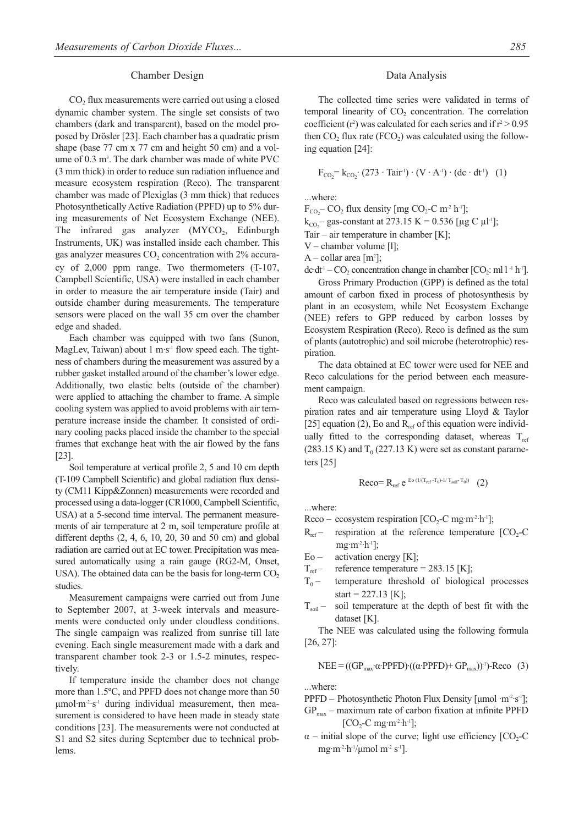#### Chamber Design

 $CO<sub>2</sub>$  flux measurements were carried out using a closed dynamic chamber system. The single set consists of two chambers (dark and transparent), based on the model proposed by Drösler [23]. Each chamber has a quadratic prism shape (base 77 cm x 77 cm and height 50 cm) and a volume of 0.3 m<sup>3</sup>. The dark chamber was made of white PVC (3 mm thick) in order to reduce sun radiation influence and measure ecosystem respiration (Reco). The transparent chamber was made of Plexiglas (3 mm thick) that reduces Photosynthetically Active Radiation (PPFD) up to 5% during measurements of Net Ecosystem Exchange (NEE). The infrared gas analyzer  $(MYCO<sub>2</sub>)$ , Edinburgh Instruments, UK) was installed inside each chamber. This gas analyzer measures  $CO<sub>2</sub>$  concentration with 2% accuracy of 2,000 ppm range. Two thermometers (T-107, Campbell Scientific, USA) were installed in each chamber in order to measure the air temperature inside (Tair) and outside chamber during measurements. The temperature sensors were placed on the wall 35 cm over the chamber edge and shaded.

Each chamber was equipped with two fans (Sunon, MagLev, Taiwan) about  $1 \text{ m·s}$ <sup>1</sup> flow speed each. The tightness of chambers during the measurement was assured by a rubber gasket installed around of the chamber's lower edge. Additionally, two elastic belts (outside of the chamber) were applied to attaching the chamber to frame. A simple cooling system was applied to avoid problems with air temperature increase inside the chamber. It consisted of ordinary cooling packs placed inside the chamber to the special frames that exchange heat with the air flowed by the fans [23].

Soil temperature at vertical profile 2, 5 and 10 cm depth (T-109 Campbell Scientific) and global radiation flux density (CM11 Kipp&Zonnen) measurements were recorded and processed using a data-logger (CR1000, Campbell Scientific, USA) at a 5-second time interval. The permanent measurements of air temperature at 2 m, soil temperature profile at different depths  $(2, 4, 6, 10, 20, 30, 30, 50, 60)$  and global radiation are carried out at EC tower. Precipitation was measured automatically using a rain gauge (RG2-M, Onset, USA). The obtained data can be the basis for long-term  $CO<sub>2</sub>$ studies.

Measurement campaigns were carried out from June to September 2007, at 3-week intervals and measurements were conducted only under cloudless conditions. The single campaign was realized from sunrise till late evening. Each single measurement made with a dark and transparent chamber took 2-3 or 1.5-2 minutes, respectively.

If temperature inside the chamber does not change more than 1.5ºC, and PPFD does not change more than 50  $\mu$ mol·m<sup>-2</sup>·s<sup>-1</sup> during individual measurement, then measurement is considered to have heen made in steady state conditions [23]. The measurements were not conducted at S1 and S2 sites during September due to technical problems.

#### Data Analysis

The collected time series were validated in terms of temporal linearity of  $CO<sub>2</sub>$  concentration. The correlation coefficient (r<sup>2</sup>) was calculated for each series and if  $r^2 > 0.95$ then  $CO<sub>2</sub>$  flux rate (FCO<sub>2</sub>) was calculated using the following equation [24]:

$$
F_{CO_2} = k_{CO_2} \cdot (273 \cdot \text{Tair}^1) \cdot (V \cdot A^{-1}) \cdot (dc \cdot dt^1) \quad (1)
$$

...where:

 $F_{CO_2}$ – CO<sub>2</sub> flux density [mg CO<sub>2</sub>-C m<sup>-2</sup> h<sup>-1</sup>];  $k_{CO_2}$  gas-constant at 273.15 K = 0.536 [µg C µl<sup>-1</sup>];

Tair – air temperature in chamber  $[K]$ ;

V – chamber volume [l];

 $A$  – collar area [m<sup>2</sup>];

dc·dt<sup>-1</sup> – CO<sub>2</sub> concentration change in chamber  $[CO_2: ml 1 - h^{-1}]$ . Gross Primary Production (GPP) is defined as the total amount of carbon fixed in process of photosynthesis by plant in an ecosystem, while Net Ecosystem Exchange (NEE) refers to GPP reduced by carbon losses by Ecosystem Respiration (Reco). Reco is defined as the sum of plants (autotrophic) and soil microbe (heterotrophic) respiration.

The data obtained at EC tower were used for NEE and Reco calculations for the period between each measurement campaign.

Reco was calculated based on regressions between respiration rates and air temperature using Lloyd & Taylor [25] equation (2), Eo and  $R_{ref}$  of this equation were individually fitted to the corresponding dataset, whereas  $T_{ref}$ (283.15 K) and  $T_0$  (227.13 K) were set as constant parameters [25]

$$
Reco = R_{ref} \ e^{Eo(1/(T_{ref} - T_0) - 1/T_{soil} - T_0))} \quad (2)
$$

...where:

Reco – ecosystem respiration  $[CO_2-C$  mg·m<sup>-2</sup>·h<sup>-1</sup>];

- $R_{ref}$  respiration at the reference temperature [CO<sub>2</sub>-C] mg $\cdot$ m<sup>-2</sup> $\cdot$ h<sup>-1</sup>];
- $E_0$  activation energy [K];
- $T_{ref}$  reference temperature = 283.15 [K];
- $T<sub>0</sub>$  temperature threshold of biological processes start =  $227.13$  [K];
- $T_{\text{sol}}$  soil temperature at the depth of best fit with the dataset [K].

The NEE was calculated using the following formula [26, 27]:

$$
NEE = ((GPmax·\alpha \cdot PPFD)·((\alpha \cdot PPFD) + GPmax))-1)-Reco (3)
$$

...where:

PPFD – Photosynthetic Photon Flux Density [ $\mu$ mol ·m<sup>-2</sup>·s<sup>-1</sup>];  $GP<sub>max</sub>$  – maximum rate of carbon fixation at infinite PPFD  $[CO_2-C$  mg·m<sup>-2</sup>·h<sup>-1</sup>];

 $\alpha$  – initial slope of the curve; light use efficiency [CO<sub>2</sub>-C] mg·m<sup>-2</sup>·h<sup>-1</sup>/µmol m<sup>-2</sup> s<sup>-1</sup>].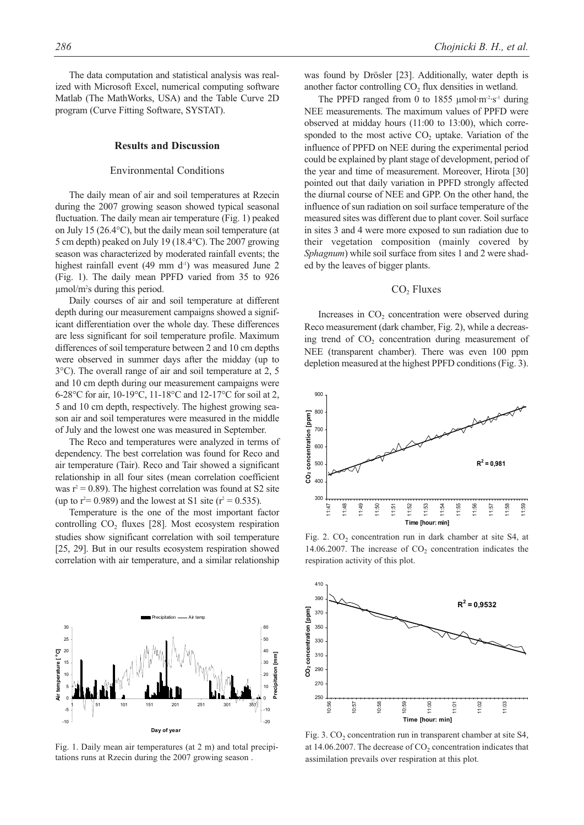The data computation and statistical analysis was realized with Microsoft Excel, numerical computing software Matlab (The MathWorks, USA) and the Table Curve 2D program (Curve Fitting Software, SYSTAT).

#### **Results and Discussion**

#### Environmental Conditions

The daily mean of air and soil temperatures at Rzecin during the 2007 growing season showed typical seasonal fluctuation. The daily mean air temperature (Fig. 1) peaked on July 15 (26.4°C), but the daily mean soil temperature (at 5 cm depth) peaked on July 19 (18.4°C). The 2007 growing season was characterized by moderated rainfall events; the highest rainfall event (49 mm  $d<sup>-1</sup>$ ) was measured June 2 (Fig. 1). The daily mean PPFD varied from 35 to 926 µmol/m2 s during this period.

Daily courses of air and soil temperature at different depth during our measurement campaigns showed a significant differentiation over the whole day. These differences are less significant for soil temperature profile. Maximum differences of soil temperature between 2 and 10 cm depths were observed in summer days after the midday (up to 3°C). The overall range of air and soil temperature at 2, 5 and 10 cm depth during our measurement campaigns were 6-28°C for air, 10-19°C, 11-18°C and 12-17°C for soil at 2, 5 and 10 cm depth, respectively. The highest growing season air and soil temperatures were measured in the middle of July and the lowest one was measured in September.

The Reco and temperatures were analyzed in terms of dependency. The best correlation was found for Reco and air temperature (Tair). Reco and Tair showed a significant relationship in all four sites (mean correlation coefficient was  $r^2 = 0.89$ ). The highest correlation was found at S2 site (up to  $r^2$  = 0.989) and the lowest at S1 site ( $r^2$  = 0.535).

Temperature is the one of the most important factor controlling  $CO<sub>2</sub>$  fluxes [28]. Most ecosystem respiration studies show significant correlation with soil temperature [25, 29]. But in our results ecosystem respiration showed correlation with air temperature, and a similar relationship



Fig. 1. Daily mean air temperatures (at 2 m) and total precipitations runs at Rzecin during the 2007 growing season .

was found by Drösler [23]. Additionally, water depth is another factor controlling CO<sub>2</sub> flux densities in wetland.

The PPFD ranged from 0 to 1855  $\mu$ mol·m<sup>-2</sup>·s<sup>-1</sup> during NEE measurements. The maximum values of PPFD were observed at midday hours (11:00 to 13:00), which corresponded to the most active  $CO<sub>2</sub>$  uptake. Variation of the influence of PPFD on NEE during the experimental period could be explained by plant stage of development, period of the year and time of measurement. Moreover, Hirota [30] pointed out that daily variation in PPFD strongly affected the diurnal course of NEE and GPP. On the other hand, the influence of sun radiation on soil surface temperature of the measured sites was different due to plant cover. Soil surface in sites 3 and 4 were more exposed to sun radiation due to their vegetation composition (mainly covered by *Sphagnum*) while soil surface from sites 1 and 2 were shaded by the leaves of bigger plants.

# CO<sub>2</sub> Fluxes

Increases in  $CO<sub>2</sub>$  concentration were observed during Reco measurement (dark chamber, Fig. 2), while a decreasing trend of CO<sub>2</sub> concentration during measurement of NEE (transparent chamber). There was even 100 ppm depletion measured at the highest PPFD conditions (Fig. 3).



Fig. 2.  $CO<sub>2</sub>$  concentration run in dark chamber at site S4, at 14.06.2007. The increase of  $CO<sub>2</sub>$  concentration indicates the respiration activity of this plot.



Fig. 3.  $CO<sub>2</sub>$  concentration run in transparent chamber at site S4, at  $14.06.2007$ . The decrease of  $CO<sub>2</sub>$  concentration indicates that assimilation prevails over respiration at this plot.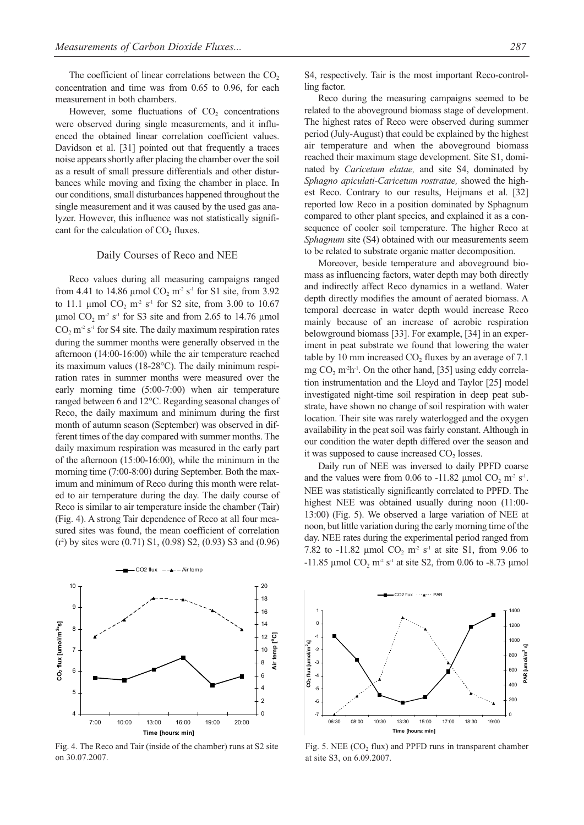The coefficient of linear correlations between the  $CO<sub>2</sub>$ concentration and time was from 0.65 to 0.96, for each measurement in both chambers.

However, some fluctuations of  $CO<sub>2</sub>$  concentrations were observed during single measurements, and it influenced the obtained linear correlation coefficient values. Davidson et al. [31] pointed out that frequently a traces noise appears shortly after placing the chamber over the soil as a result of small pressure differentials and other disturbances while moving and fixing the chamber in place. In our conditions, small disturbances happened throughout the single measurement and it was caused by the used gas analyzer. However, this influence was not statistically significant for the calculation of  $CO<sub>2</sub>$  fluxes.

#### Daily Courses of Reco and NEE

Reco values during all measuring campaigns ranged from 4.41 to 14.86 µmol  $CO<sub>2</sub>$  m<sup>-2</sup> s<sup>-1</sup> for S1 site, from 3.92 to 11.1 µmol  $CO_2$  m<sup>-2</sup> s<sup>-1</sup> for S2 site, from 3.00 to 10.67 µmol  $CO<sub>2</sub>$  m<sup>2</sup> s<sup>-1</sup> for S3 site and from 2.65 to 14.76 µmol  $CO<sub>2</sub>$  m<sup>-2</sup> s<sup>-1</sup> for S4 site. The daily maximum respiration rates during the summer months were generally observed in the afternoon (14:00-16:00) while the air temperature reached its maximum values (18-28°C). The daily minimum respiration rates in summer months were measured over the early morning time (5:00-7:00) when air temperature ranged between 6 and 12°C. Regarding seasonal changes of Reco, the daily maximum and minimum during the first month of autumn season (September) was observed in different times of the day compared with summer months. The daily maximum respiration was measured in the early part of the afternoon (15:00-16:00), while the minimum in the morning time (7:00-8:00) during September. Both the maximum and minimum of Reco during this month were related to air temperature during the day. The daily course of Reco is similar to air temperature inside the chamber (Tair) (Fig. 4). A strong Tair dependence of Reco at all four measured sites was found, the mean coefficient of correlation (r2 ) by sites were (0.71) S1, (0.98) S2, (0.93) S3 and (0.96)



Fig. 4. The Reco and Tair (inside of the chamber) runs at S2 site on 30.07.2007.

Reco during the measuring campaigns seemed to be related to the aboveground biomass stage of development. The highest rates of Reco were observed during summer period (July-August) that could be explained by the highest air temperature and when the aboveground biomass reached their maximum stage development. Site S1, dominated by *Caricetum elatae,* and site S4, dominated by *Sphagno apiculati-Caricetum rostratae,* showed the highest Reco. Contrary to our results, Heijmans et al. [32] reported low Reco in a position dominated by Sphagnum compared to other plant species, and explained it as a consequence of cooler soil temperature. The higher Reco at *Sphagnum* site (S4) obtained with our measurements seem to be related to substrate organic matter decomposition.

Moreover, beside temperature and aboveground biomass as influencing factors, water depth may both directly and indirectly affect Reco dynamics in a wetland. Water depth directly modifies the amount of aerated biomass. A temporal decrease in water depth would increase Reco mainly because of an increase of aerobic respiration belowground biomass [33]. For example, [34] in an experiment in peat substrate we found that lowering the water table by 10 mm increased  $CO<sub>2</sub>$  fluxes by an average of 7.1 mg  $CO<sub>2</sub>$  m<sup>-2</sup>h<sup>-1</sup>. On the other hand, [35] using eddy correlation instrumentation and the Lloyd and Taylor [25] model investigated night-time soil respiration in deep peat substrate, have shown no change of soil respiration with water location. Their site was rarely waterlogged and the oxygen availability in the peat soil was fairly constant. Although in our condition the water depth differed over the season and it was supposed to cause increased  $CO<sub>2</sub>$  losses.

Daily run of NEE was inversed to daily PPFD coarse and the values were from 0.06 to  $-11.82$  µmol CO<sub>2</sub> m<sup>-2</sup> s<sup>-1</sup>. NEE was statistically significantly correlated to PPFD. The highest NEE was obtained usually during noon (11:00- 13:00) (Fig. 5). We observed a large variation of NEE at noon, but little variation during the early morning time of the day. NEE rates during the experimental period ranged from 7.82 to -11.82  $\mu$ mol CO<sub>2</sub> m<sup>2</sup> s<sup>-1</sup> at site S1, from 9.06 to  $-11.85$  µmol CO<sub>2</sub> m<sup>-2</sup> s<sup>-1</sup> at site S2, from 0.06 to  $-8.73$  µmol



Fig. 5. NEE  $(CO<sub>2</sub> flux)$  and PPFD runs in transparent chamber at site S3, on 6.09.2007.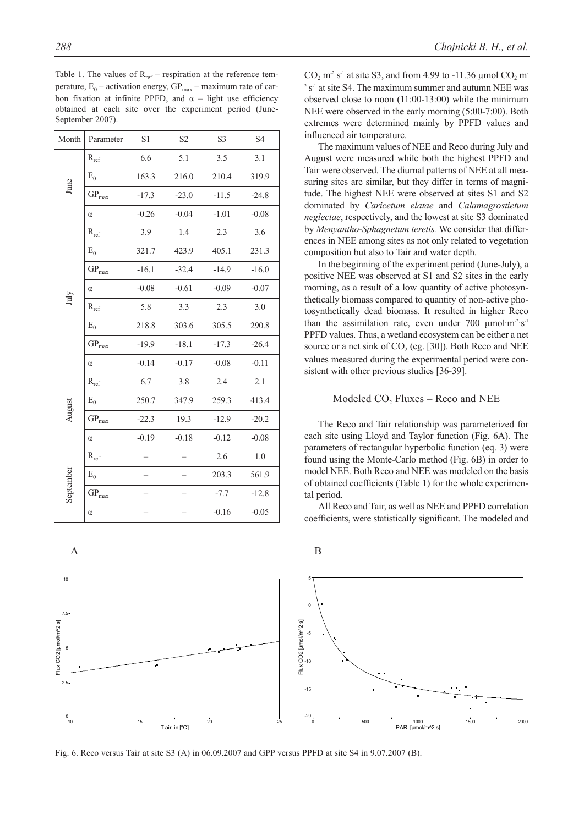| Month                                                                                                                     | Parameter          | S1      | S <sub>2</sub> | S <sub>3</sub> | S4      |
|---------------------------------------------------------------------------------------------------------------------------|--------------------|---------|----------------|----------------|---------|
| June                                                                                                                      | $R_{ref}$          | 6.6     | 5.1            | 3.5            | 3.1     |
|                                                                                                                           | $E_0$              | 163.3   | 216.0          | 210.4          | 319.9   |
|                                                                                                                           | $GP_{max}$         | $-17.3$ | $-23.0$        | $-11.5$        | $-24.8$ |
|                                                                                                                           | $\alpha$           | $-0.26$ | $-0.04$        | $-1.01$        | $-0.08$ |
| $\rm{July}$                                                                                                               | $R_{\mathrm{ref}}$ | 3.9     | 1.4            | 2.3            | 3.6     |
|                                                                                                                           | $E_0$              | 321.7   | 423.9          | 405.1          | 231.3   |
|                                                                                                                           | $GP_{max}$         | $-16.1$ | $-32.4$        | $-14.9$        | $-16.0$ |
|                                                                                                                           | $\alpha$           | $-0.08$ | $-0.61$        | $-0.09$        | $-0.07$ |
|                                                                                                                           | $R_{\mathrm{ref}}$ | 5.8     | 3.3            | 2.3            | 3.0     |
|                                                                                                                           | $E_0$              | 218.8   | 303.6          | 305.5          | 290.8   |
|                                                                                                                           | $GP_{max}$         | $-19.9$ | $-18.1$        | $-17.3$        | $-26.4$ |
|                                                                                                                           | $\alpha$           | $-0.14$ | $-0.17$        | $-0.08$        | $-0.11$ |
| $R_{\rm ref}$<br>$E_0$<br>August<br>$GP_{max}$<br>$\alpha$<br>$R_{\mathrm{ref}}$<br>September<br>$E_0$<br>$GP_{max}$<br>α |                    | 6.7     | 3.8            | 2.4            | 2.1     |
|                                                                                                                           |                    | 250.7   | 347.9          | 259.3          | 413.4   |
|                                                                                                                           |                    | $-22.3$ | 19.3           | $-12.9$        | $-20.2$ |
|                                                                                                                           |                    | $-0.19$ | $-0.18$        | $-0.12$        | $-0.08$ |
|                                                                                                                           |                    |         |                | 2.6            | 1.0     |
|                                                                                                                           |                    |         |                | 203.3          | 561.9   |
|                                                                                                                           |                    |         |                | $-7.7$         | $-12.8$ |
|                                                                                                                           |                    |         |                | $-0.16$        | $-0.05$ |
|                                                                                                                           |                    |         |                |                |         |

Table 1. The values of  $R_{ref}$  – respiration at the reference temperature,  $E_0$  – activation energy,  $GP_{max}$  – maximum rate of carbon fixation at infinite PPFD, and  $\alpha$  – light use efficiency obtained at each site over the experiment period (June-September 2007).

0

2.5

5

Flux CO2 [μmol/m^2 s]

Flux CO2 [µmol/m^2 s]

7.5

10

 $CO<sub>2</sub>$  m<sup>-2</sup> s<sup>-1</sup> at site S3, and from 4.99 to -11.36 µmol  $CO<sub>2</sub>$  m<sup>-</sup>  $2 s<sup>-1</sup>$  at site S4. The maximum summer and autumn NEE was observed close to noon (11:00-13:00) while the minimum NEE were observed in the early morning (5:00-7:00). Both extremes were determined mainly by PPFD values and influenced air temperature.

The maximum values of NEE and Reco during July and August were measured while both the highest PPFD and Tair were observed. The diurnal patterns of NEE at all measuring sites are similar, but they differ in terms of magnitude. The highest NEE were observed at sites S1 and S2 dominated by *Caricetum elatae* and *Calamagrostietum neglectae*, respectively, and the lowest at site S3 dominated by *Menyantho-Sphagnetum teretis.* We consider that differences in NEE among sites as not only related to vegetation composition but also to Tair and water depth.

In the beginning of the experiment period (June-July), a positive NEE was observed at S1 and S2 sites in the early morning, as a result of a low quantity of active photosynthetically biomass compared to quantity of non-active photosynthetically dead biomass. It resulted in higher Reco than the assimilation rate, even under 700  $\mu$ mol·m<sup>-2</sup>·s<sup>-1</sup> PPFD values. Thus, a wetland ecosystem can be either a net source or a net sink of  $CO<sub>2</sub>$  (eg. [30]). Both Reco and NEE values measured during the experimental period were consistent with other previous studies [36-39].

# Modeled  $CO<sub>2</sub>$  Fluxes – Reco and NEE

The Reco and Tair relationship was parameterized for each site using Lloyd and Taylor function (Fig. 6A). The parameters of rectangular hyperbolic function (eq. 3) were found using the Monte-Carlo method (Fig. 6B) in order to model NEE. Both Reco and NEE was modeled on the basis of obtained coefficients (Table 1) for the whole experimental period.

All Reco and Tair, as well as NEE and PPFD correlation coefficients, were statistically significant. The modeled and





T air in [°C]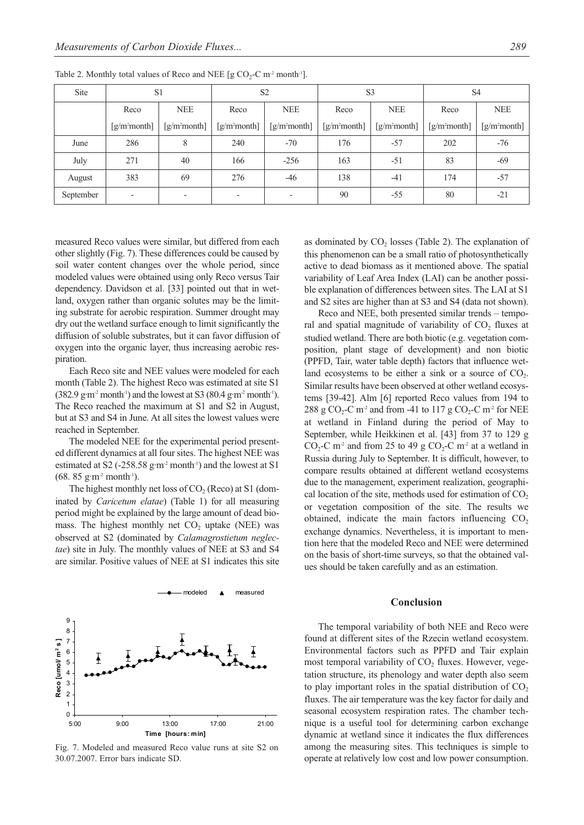| Site      | S <sub>1</sub>           |                          | S <sub>2</sub>              |                          | S <sub>3</sub> |                             | S <sub>4</sub>              |                |
|-----------|--------------------------|--------------------------|-----------------------------|--------------------------|----------------|-----------------------------|-----------------------------|----------------|
|           | Reco                     | <b>NEE</b>               | Reco                        | <b>NEE</b>               | Reco           | <b>NEE</b>                  | Reco                        | <b>NEE</b>     |
|           | $[g/m2$ month]           | $[g/m2$ month]           | $\left[\frac{g}{m^2}$ month | $[g/m2$ month]           | $[g/m2$ month] | $\left[\frac{g}{m^2}$ month | $\left[\frac{g}{m^2}$ month | $[g/m2$ month] |
| June      | 286                      | 8                        | 240                         | $-70$                    | 176            | $-57$                       | 202                         | $-76$          |
| July      | 271                      | 40                       | 166                         | $-256$                   | 163            | $-51$                       | 83                          | $-69$          |
| August    | 383                      | 69                       | 276                         | $-46$                    | 138            | $-41$                       | 174                         | $-57$          |
| September | $\overline{\phantom{a}}$ | $\overline{\phantom{a}}$ | $\overline{\phantom{a}}$    | $\overline{\phantom{a}}$ | 90             | $-55$                       | 80                          | $-21$          |

Table 2. Monthly total values of Reco and NEE [g  $CO_2$ -C m<sup>-2</sup> month<sup>-1</sup>].

measured Reco values were similar, but differed from each other slightly (Fig. 7). These differences could be caused by soil water content changes over the whole period, since modeled values were obtained using only Reco versus Tair dependency. Davidson et al. [33] pointed out that in wetland, oxygen rather than organic solutes may be the limiting substrate for aerobic respiration. Summer drought may dry out the wetland surface enough to limit significantly the diffusion of soluble substrates, but it can favor diffusion of oxygen into the organic layer, thus increasing aerobic respiration.

Each Reco site and NEE values were modeled for each month (Table 2). The highest Reco was estimated at site S1  $(382.9 \text{ g} \cdot \text{m}^2 \text{ month}^{\text{-1}})$  and the lowest at S3  $(80.4 \text{ g} \cdot \text{m}^2 \text{ month}^{\text{-1}})$ . The Reco reached the maximum at S1 and S2 in August, but at S3 and S4 in June. At all sites the lowest values were reached in September.

The modeled NEE for the experimental period presented different dynamics at all four sites. The highest NEE was estimated at S2 (-258.58  $g \cdot m^2$  month<sup>-1</sup>) and the lowest at S1  $(68. 85 \text{ g} \cdot \text{m}^2 \text{ month}^{-1})$ .

The highest monthly net loss of  $CO<sub>2</sub>$  (Reco) at S1 (dominated by *Caricetum elatae*) (Table 1) for all measuring period might be explained by the large amount of dead biomass. The highest monthly net  $CO<sub>2</sub>$  uptake (NEE) was observed at S2 (dominated by *Calamagrostietum neglectae*) site in July. The monthly values of NEE at S3 and S4 are similar. Positive values of NEE at S1 indicates this site



Fig. 7. Modeled and measured Reco value runs at site S2 on 30.07.2007. Error bars indicate SD.

as dominated by CO<sub>2</sub> losses (Table 2). The explanation of this phenomenon can be a small ratio of photosynthetically active to dead biomass as it mentioned above. The spatial variability of Leaf Area Index (LAI) can be another possible explanation of differences between sites. The LAI at S1 and S2 sites are higher than at S3 and S4 (data not shown).

Reco and NEE, both presented similar trends – temporal and spatial magnitude of variability of  $CO<sub>2</sub>$  fluxes at studied wetland. There are both biotic (e.g. vegetation composition, plant stage of development) and non biotic (PPFD, Tair, water table depth) factors that influence wetland ecosystems to be either a sink or a source of  $CO<sub>2</sub>$ . Similar results have been observed at other wetland ecosystems [39-42]. Alm [6] reported Reco values from 194 to 288 g CO<sub>2</sub>-C m<sup>-2</sup> and from -41 to 117 g CO<sub>2</sub>-C m<sup>-2</sup> for NEE at wetland in Finland during the period of May to September, while Heikkinen et al. [43] from 37 to 129 g CO<sub>2</sub>-C m<sup>-2</sup> and from 25 to 49 g CO<sub>2</sub>-C m<sup>-2</sup> at a wetland in Russia during July to September. It is difficult, however, to compare results obtained at different wetland ecosystems due to the management, experiment realization, geographical location of the site, methods used for estimation of  $CO<sub>2</sub>$ or vegetation composition of the site. The results we obtained, indicate the main factors influencing  $CO<sub>2</sub>$ exchange dynamics. Nevertheless, it is important to mention here that the modeled Reco and NEE were determined on the basis of short-time surveys, so that the obtained values should be taken carefully and as an estimation.

#### **Conclusion**

The temporal variability of both NEE and Reco were found at different sites of the Rzecin wetland ecosystem. Environmental factors such as PPFD and Tair explain most temporal variability of CO<sub>2</sub> fluxes. However, vegetation structure, its phenology and water depth also seem to play important roles in the spatial distribution of  $CO<sub>2</sub>$ fluxes. The air temperature was the key factor for daily and seasonal ecosystem respiration rates. The chamber technique is a useful tool for determining carbon exchange dynamic at wetland since it indicates the flux differences among the measuring sites. This techniques is simple to operate at relatively low cost and low power consumption.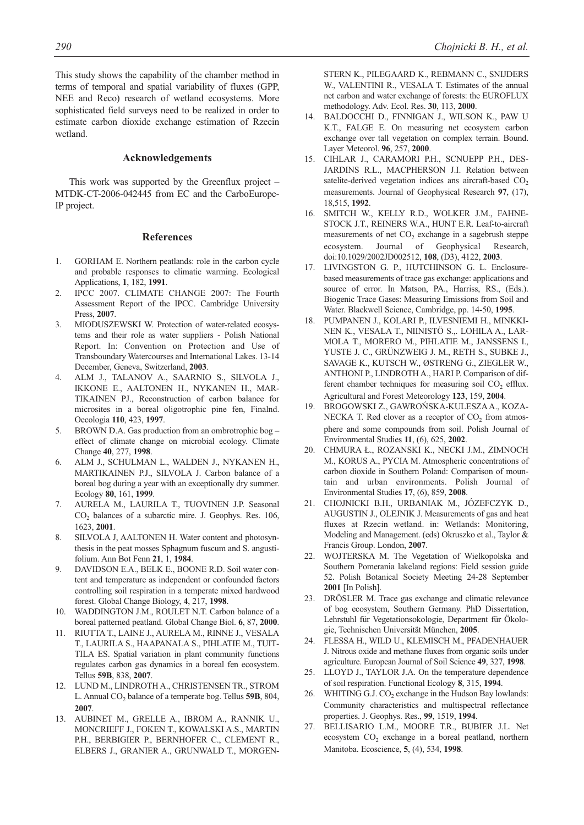This study shows the capability of the chamber method in terms of temporal and spatial variability of fluxes (GPP, NEE and Reco) research of wetland ecosystems. More sophisticated field surveys need to be realized in order to estimate carbon dioxide exchange estimation of Rzecin wetland.

# **Acknowledgements**

This work was supported by the Greenflux project – MTDK-CT-2006-042445 from EC and the CarboEurope-IP project.

#### **References**

- 1. GORHAM E. Northern peatlands: role in the carbon cycle and probable responses to climatic warming. Ecological Applications, **1**, 182, **1991**.
- 2. IPCC 2007. CLIMATE CHANGE 2007: The Fourth Assessment Report of the IPCC. Cambridge University Press, **2007**.
- 3. MIODUSZEWSKI W. Protection of water-related ecosystems and their role as water suppliers - Polish National Report. In: Convention on Protection and Use of Transboundary Watercourses and International Lakes. 13-14 December, Geneva, Switzerland, **2003**.
- 4. ALM J., TALANOV A., SAARNIO S., SILVOLA J., IKKONE E., AALTONEN H., NYKANEN H., MAR-TIKAINEN PJ., Reconstruction of carbon balance for microsites in a boreal oligotrophic pine fen, Finalnd. Oecologia **110**, 423, **1997**.
- 5. BROWN D.A. Gas production from an ombrotrophic bog effect of climate change on microbial ecology. Climate Change **40**, 277, **1998**.
- 6. ALM J., SCHULMAN L., WALDEN J., NYKANEN H., MARTIKAINEN P.J., SILVOLA J. Carbon balance of a boreal bog during a year with an exceptionally dry summer. Ecology **80**, 161, **1999**.
- 7. AURELA M., LAURILA T., TUOVINEN J.P. Seasonal CO<sub>2</sub> balances of a subarctic mire. J. Geophys. Res. 106, 1623, **2001**.
- 8. SILVOLA J, AALTONEN H. Water content and photosynthesis in the peat mosses Sphagnum fuscum and S. angustifolium. Ann Bot Fenn **21**, 1, **1984**.
- 9. DAVIDSON E.A., BELK E., BOONE R.D. Soil water content and temperature as independent or confounded factors controlling soil respiration in a temperate mixed hardwood forest. Global Change Biology, **4**, 217, **1998**.
- 10. WADDINGTON J.M., ROULET N.T. Carbon balance of a boreal patterned peatland. Global Change Biol. **6**, 87, **2000**.
- 11. RIUTTA T., LAINE J., AURELA M., RINNE J., VESALA T., LAURILA S., HAAPANALA S., PIHLATIE M., TUIT-TILA ES. Spatial variation in plant community functions regulates carbon gas dynamics in a boreal fen ecosystem. Tellus **59B**, 838, **2007**.
- 12. LUND M., LINDROTH A., CHRISTENSEN TR., STROM L. Annual CO<sub>2</sub> balance of a temperate bog. Tellus **59B**, 804, **2007**.
- 13. AUBINET M., GRELLE A., IBROM A., RANNIK U., MONCRIEFF J., FOKEN T., KOWALSKI A.S., MARTIN P.H., BERBIGIER P., BERNHOFER C., CLEMENT R., ELBERS J., GRANIER A., GRUNWALD T., MORGEN-

STERN K., PILEGAARD K., REBMANN C., SNIJDERS W., VALENTINI R., VESALA T. Estimates of the annual net carbon and water exchange of forests: the EUROFLUX methodology. Adv. Ecol. Res. **30**, 113, **2000**.

- 14. BALDOCCHI D., FINNIGAN J., WILSON K., PAW U K.T., FALGE E. On measuring net ecosystem carbon exchange over tall vegetation on complex terrain. Bound. Layer Meteorol. **96**, 257, **2000**.
- 15. CIHLAR J., CARAMORI P.H., SCNUEPP P.H., DES-JARDINS R.L., MACPHERSON J.I. Relation between satelite-derived vegetation indices ans aircraft-based  $CO<sub>2</sub>$ measurements. Journal of Geophysical Research **97**, (17), 18,515, **1992**.
- 16. SMITCH W., KELLY R.D., WOLKER J.M., FAHNE-STOCK J.T., REINERS W.A., HUNT E.R. Leaf-to-aircraft measurements of net  $CO<sub>2</sub>$  exchange in a sagebrush steppe ecosystem. Journal of Geophysical Research, doi:10.1029/2002JD002512, **108**, (D3), 4122, **2003**.
- 17. LIVINGSTON G. P., HUTCHINSON G. L. Enclosurebased measurements of trace gas exchange: applications and source of error. In Matson, PA., Harriss, RS., (Eds.). Biogenic Trace Gases: Measuring Emissions from Soil and Water. Blackwell Science, Cambridge, pp. 14-50, **1995**.
- 18. PUMPANEN J., KOLARI P., ILVESNIEMI H., MINKKI-NEN K., VESALA T., NIINISTÖ S.,. LOHILA A., LAR-MOLA T., MORERO M., PIHLATIE M., JANSSENS I., YUSTE J. C., GRÜNZWEIG J. M., RETH S., SUBKE J., SAVAGE K., KUTSCH W., ØSTRENG G., ZIEGLER W., ANTHONI P., LINDROTH A., HARI P. Comparison of different chamber techniques for measuring soil  $CO<sub>2</sub>$  efflux. Agricultural and Forest Meteorology **123**, 159, **2004**.
- 19. BROGOWSKI Z., GAWROŃSKA-KULESZA A., KOZA-NECKA T. Red clover as a receptor of  $CO<sub>2</sub>$  from atmosphere and some compounds from soil. Polish Journal of Environmental Studies **11**, (6), 625, **2002**.
- 20. CHMURA Ł., ROZANSKI K., NECKI J.M., ZIMNOCH M., KORUS A., PYCIA M. Atmospheric concentrations of carbon dioxide in Southern Poland: Comparison of mountain and urban environments. Polish Journal of Environmental Studies **17**, (6), 859, **2008**.
- 21. CHOJNICKI B.H., URBANIAK M., JÓZEFCZYK D., AUGUSTIN J., OLEJNIK J. Measurements of gas and heat fluxes at Rzecin wetland. in: Wetlands: Monitoring, Modeling and Management. (eds) Okruszko et al., Taylor & Francis Group. London, **2007**.
- 22. WOJTERSKA M. The Vegetation of Wielkopolska and Southern Pomerania lakeland regions: Field session guide 52. Polish Botanical Society Meeting 24-28 September **2001** [In Polish].
- 23. DRÖSLER M. Trace gas exchange and climatic relevance of bog ecosystem, Southern Germany. PhD Dissertation, Lehrstuhl für Vegetationsokologie, Department für Ökologie, Technischen Universität München, **2005**.
- 24. FLESSA H., WILD U., KLEMISCH M., PFADENHAUER J. Nitrous oxide and methane fluxes from organic soils under agriculture. European Journal of Soil Science **49**, 327, **1998**.
- 25. LLOYD J., TAYLOR J.A. On the temperature dependence of soil respiration. Functional Ecology **8**, 315, **1994**.
- 26. WHITING G.J.  $CO<sub>2</sub>$  exchange in the Hudson Bay lowlands: Community characteristics and multispectral reflectance properties. J. Geophys. Res., **99**, 1519, **1994**.
- 27. BELLISARIO L.M., MOORE T.R., BUBIER J.L. Net ecosystem  $CO<sub>2</sub>$  exchange in a boreal peatland, northern Manitoba. Ecoscience, **5**, (4), 534, **1998**.